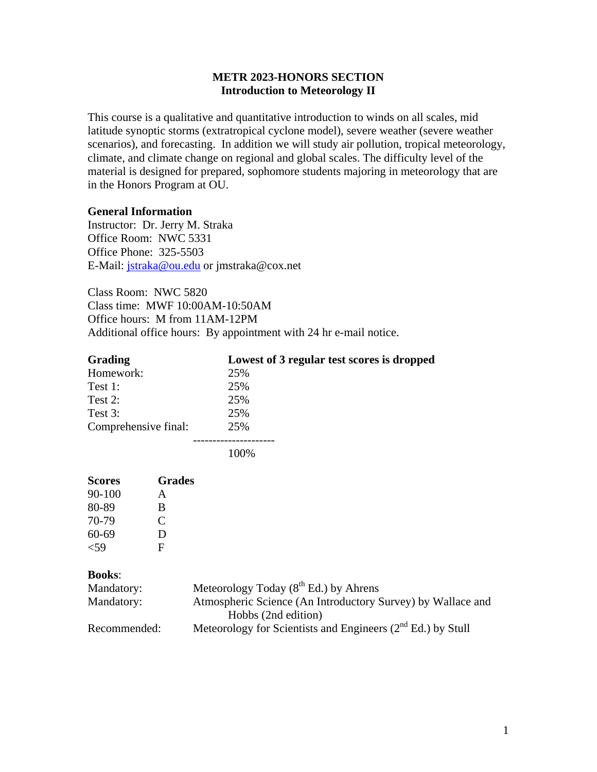# **METR 2023-HONORS SECTION Introduction to Meteorology II**

This course is a qualitative and quantitative introduction to winds on all scales, mid latitude synoptic storms (extratropical cyclone model), severe weather (severe weather scenarios), and forecasting. In addition we will study air pollution, tropical meteorology, climate, and climate change on regional and global scales. The difficulty level of the material is designed for prepared, sophomore students majoring in meteorology that are in the Honors Program at OU.

### **General Information**

Instructor: Dr. Jerry M. Straka Office Room: NWC 5331 Office Phone: 325-5503 E-Mail: jstraka@ou.edu or jmstraka@cox.net

Class Room: NWC 5820 Class time: MWF 10:00AM-10:50AM Office hours: M from 11AM-12PM Additional office hours: By appointment with 24 hr e-mail notice.

| <b>Grading</b>       | Lowest of 3 regular test scores is dropped |
|----------------------|--------------------------------------------|
| Homework:            | 25%                                        |
| Test 1:              | 25%                                        |
| Test $2$ :           | 25%                                        |
| Test $3:$            | 25%                                        |
| Comprehensive final: | 25%                                        |
|                      |                                            |

100%

| <b>Scores</b> | <b>Grades</b> |
|---------------|---------------|
| $90 - 100$    | A             |
| 80-89         | B             |
| 70-79         | C             |
| 60-69         | D             |
| ${<}59$       | F             |

### **Books**:

| Mandatory:   | Meteorology Today $(8^{th}$ Ed.) by Ahrens                       |
|--------------|------------------------------------------------------------------|
| Mandatory:   | Atmospheric Science (An Introductory Survey) by Wallace and      |
|              | Hobbs (2nd edition)                                              |
| Recommended: | Meteorology for Scientists and Engineers $(2^{nd} Ed.)$ by Stull |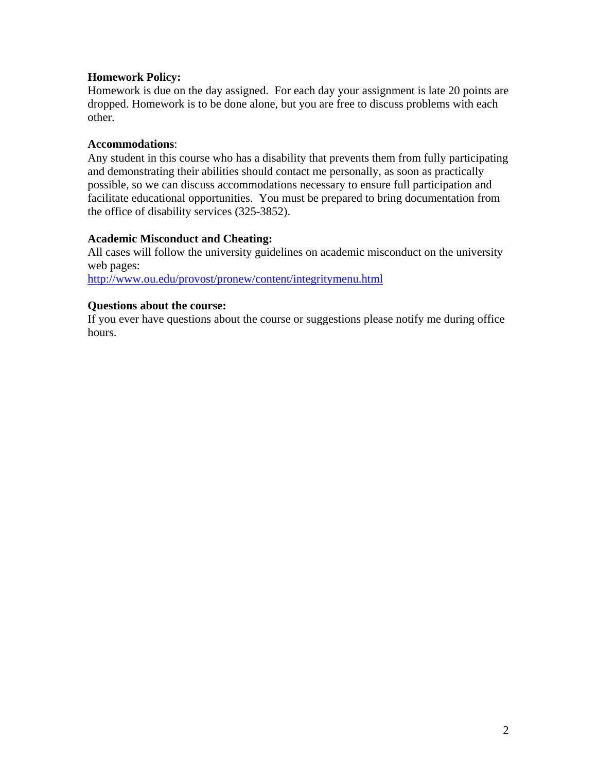# **Homework Policy:**

Homework is due on the day assigned. For each day your assignment is late 20 points are dropped. Homework is to be done alone, but you are free to discuss problems with each other.

## **Accommodations**:

Any student in this course who has a disability that prevents them from fully participating and demonstrating their abilities should contact me personally, as soon as practically possible, so we can discuss accommodations necessary to ensure full participation and facilitate educational opportunities. You must be prepared to bring documentation from the office of disability services (325-3852).

# **Academic Misconduct and Cheating:**

All cases will follow the university guidelines on academic misconduct on the university web pages:

http://www.ou.edu/provost/pronew/content/integritymenu.html

# **Questions about the course:**

If you ever have questions about the course or suggestions please notify me during office hours.